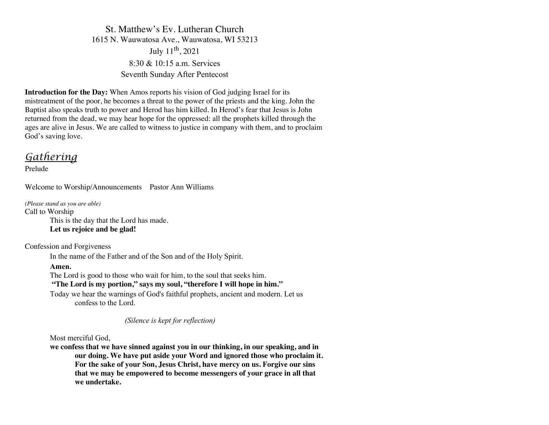St. Matthew's Ev. Lutheran Church 1615 N. Wauwatosa Ave., Wauwatosa, WI 53213 July 11th, 2021 8:30 & 10:15 a.m. Services Seventh Sunday After Pentecost

**Introduction for the Day:** When Amos reports his vision of God judging Israel for its mistreatment of the poor, he becomes a threat to the power of the priests and the king. John the Baptist also speaks truth to power and Herod has him killed. In Herod's fear that Jesus is John returned from the dead, we may hear hope for the oppressed: all the prophets killed through the ages are alive in Jesus. We are called to witness to justice in company with them, and to proclaim God's saving love.

# *Gathering*

Prelude

Welcome to Worship/Announcements Pastor Ann Williams

*(Please stand as you are able)* Call to Worship This is the day that the Lord has made. **Let us rejoice and be glad!**

Confession and Forgiveness

In the name of the Father and of the Son and of the Holy Spirit.

**Amen.**

The Lord is good to those who wait for him, to the soul that seeks him.

# **"The Lord is my portion," says my soul, "therefore I will hope in him."**

Today we hear the warnings of God's faithful prophets, ancient and modern. Let us confess to the Lord.

*(Silence is kept for reflection)*

Most merciful God,

**we confess that we have sinned against you in our thinking, in our speaking, and in our doing. We have put aside your Word and ignored those who proclaim it. For the sake of your Son, Jesus Christ, have mercy on us. Forgive our sins that we may be empowered to become messengers of your grace in all that we undertake.**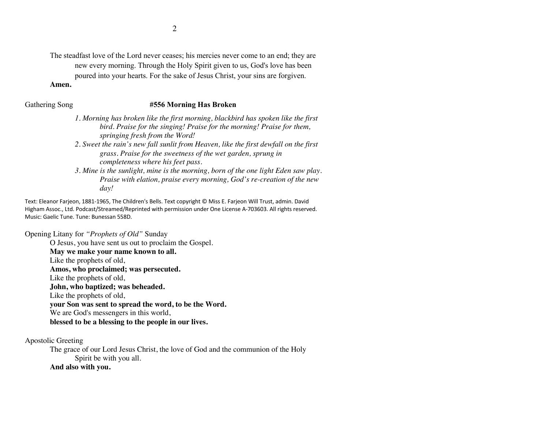The steadfast love of the Lord never ceases; his mercies never come to an end; they are new every morning. Through the Holy Spirit given to us, God's love has been poured into your hearts. For the sake of Jesus Christ, your sins are forgiven.

#### **Amen.**

#### Gathering Song **#556 Morning Has Broken**

- *1. Morning has broken like the first morning, blackbird has spoken like the first bird. Praise for the singing! Praise for the morning! Praise for them, springing fresh from the Word!*
- *2. Sweet the rain's new fall sunlit from Heaven, like the first dewfall on the first grass. Praise for the sweetness of the wet garden, sprung in completeness where his feet pass.*
- *3. Mine is the sunlight, mine is the morning, born of the one light Eden saw play. Praise with elation, praise every morning, God's re-creation of the new day!*

Text: Eleanor Farjeon, 1881-1965, The Children's Bells. Text copyright © Miss E. Farjeon Will Trust, admin. David Higham Assoc., Ltd. Podcast/Streamed/Reprinted with permission under One License A-703603. All rights reserved. Music: Gaelic Tune. Tune: Bunessan 558D.

Opening Litany for *"Prophets of Old"* Sunday

O Jesus, you have sent us out to proclaim the Gospel. **May we make your name known to all.** Like the prophets of old, **Amos, who proclaimed; was persecuted.** Like the prophets of old, **John, who baptized; was beheaded.** Like the prophets of old, **your Son was sent to spread the word, to be the Word.**  We are God's messengers in this world, **blessed to be a blessing to the people in our lives.**

Apostolic Greeting

The grace of our Lord Jesus Christ, the love of God and the communion of the Holy Spirit be with you all.

# **And also with you.**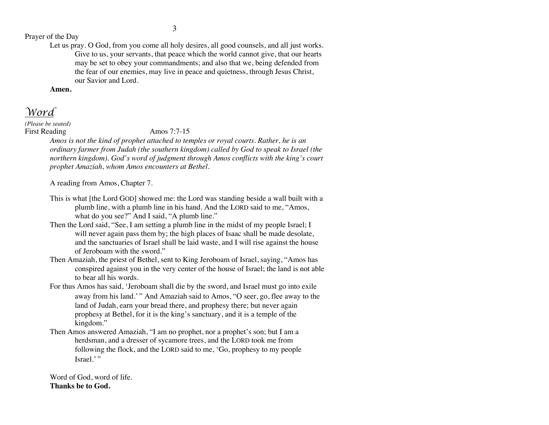# Prayer of the Day

Let us pray. O God, from you come all holy desires, all good counsels, and all just works. Give to us, your servants, that peace which the world cannot give, that our hearts may be set to obey your commandments; and also that we, being defended from the fear of our enemies, may live in peace and quietness, through Jesus Christ, our Savior and Lord.

**Amen.**

*Word*

*(Please be seated)* First Reading Amos 7:7-15

*Amos is not the kind of prophet attached to temples or royal courts. Rather, he is an ordinary farmer from Judah (the southern kingdom) called by God to speak to Israel (the northern kingdom). God's word of judgment through Amos conflicts with the king's court prophet Amaziah, whom Amos encounters at Bethel.*

A reading from Amos, Chapter 7.

- This is what [the Lord GOD] showed me: the Lord was standing beside a wall built with a plumb line, with a plumb line in his hand. And the LORD said to me, "Amos, what do you see?" And I said, "A plumb line."
- Then the Lord said, "See, I am setting a plumb line in the midst of my people Israel; I will never again pass them by; the high places of Isaac shall be made desolate, and the sanctuaries of Israel shall be laid waste, and I will rise against the house of Jeroboam with the sword."
- Then Amaziah, the priest of Bethel, sent to King Jeroboam of Israel, saying, "Amos has conspired against you in the very center of the house of Israel; the land is not able to bear all his words.
- For thus Amos has said, 'Jeroboam shall die by the sword, and Israel must go into exile away from his land.' " And Amaziah said to Amos, "O seer, go, flee away to the land of Judah, earn your bread there, and prophesy there; but never again prophesy at Bethel, for it is the king's sanctuary, and it is a temple of the kingdom."
- Then Amos answered Amaziah, "I am no prophet, nor a prophet's son; but I am a herdsman, and a dresser of sycamore trees, and the LORD took me from following the flock, and the LORD said to me, 'Go, prophesy to my people Israel.'"

Word of God, word of life. **Thanks be to God.**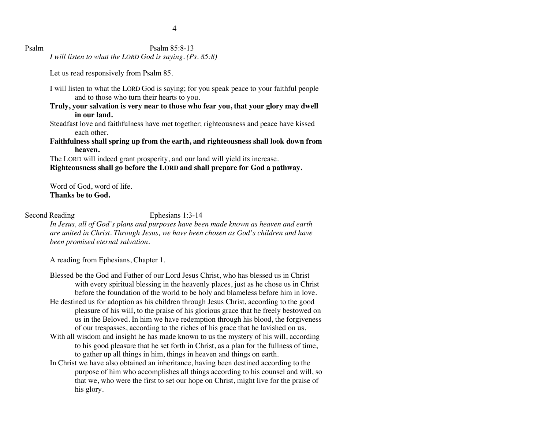## Psalm Psalm 85:8-13

*I will listen to what the LORD God is saying. (Ps. 85:8)*

Let us read responsively from Psalm 85.

- I will listen to what the LORD God is saying; for you speak peace to your faithful people and to those who turn their hearts to you.
- **Truly, your salvation is very near to those who fear you, that your glory may dwell in our land.**
- Steadfast love and faithfulness have met together; righteousness and peace have kissed each other.
- **Faithfulness shall spring up from the earth, and righteousness shall look down from heaven.**

The LORD will indeed grant prosperity, and our land will yield its increase. **Righteousness shall go before the LORD and shall prepare for God a pathway.**

Word of God, word of life. **Thanks be to God.**

Second Reading Ephesians 1:3-14

*In Jesus, all of God's plans and purposes have been made known as heaven and earth are united in Christ. Through Jesus, we have been chosen as God's children and have been promised eternal salvation.*

A reading from Ephesians, Chapter 1.

- Blessed be the God and Father of our Lord Jesus Christ, who has blessed us in Christ with every spiritual blessing in the heavenly places, just as he chose us in Christ before the foundation of the world to be holy and blameless before him in love. He destined us for adoption as his children through Jesus Christ, according to the good pleasure of his will, to the praise of his glorious grace that he freely bestowed on us in the Beloved. In him we have redemption through his blood, the forgiveness of our trespasses, according to the riches of his grace that he lavished on us. With all wisdom and insight he has made known to us the mystery of his will, according
- to his good pleasure that he set forth in Christ, as a plan for the fullness of time, to gather up all things in him, things in heaven and things on earth.
- In Christ we have also obtained an inheritance, having been destined according to the purpose of him who accomplishes all things according to his counsel and will, so that we, who were the first to set our hope on Christ, might live for the praise of his glory.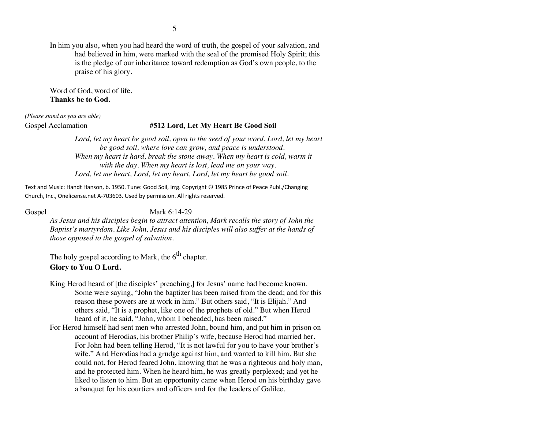In him you also, when you had heard the word of truth, the gospel of your salvation, and had believed in him, were marked with the seal of the promised Holy Spirit; this is the pledge of our inheritance toward redemption as God's own people, to the praise of his glory.

Word of God, word of life. **Thanks be to God.**

*(Please stand as you are able)*

### Gospel Acclamation **#512 Lord, Let My Heart Be Good Soil**

Lord, let my heart be good soil, open to the seed of your word. Lord, let my heart *be good soil, where love can grow, and peace is understood. When my heart is hard, break the stone away. When my heart is cold, warm it with the day. When my heart is lost, lead me on your way. Lord, let me heart, Lord, let my heart, Lord, let my heart be good soil.*

Text and Music: Handt Hanson, b. 1950. Tune: Good Soil, Irrg. Copyright © 1985 Prince of Peace Publ./Changing Church, Inc., Onelicense.net A-703603. Used by permission. All rights reserved.

Gospel Mark 6:14-29

*As Jesus and his disciples begin to attract attention, Mark recalls the story of John the Baptist's martyrdom. Like John, Jesus and his disciples will also suffer at the hands of those opposed to the gospel of salvation.*

The holy gospel according to Mark, the  $6<sup>th</sup>$  chapter.

### **Glory to You O Lord.**

- King Herod heard of [the disciples' preaching,] for Jesus' name had become known. Some were saying, "John the baptizer has been raised from the dead; and for this reason these powers are at work in him." But others said, "It is Elijah." And others said, "It is a prophet, like one of the prophets of old." But when Herod heard of it, he said, "John, whom I beheaded, has been raised."
- For Herod himself had sent men who arrested John, bound him, and put him in prison on account of Herodias, his brother Philip's wife, because Herod had married her. For John had been telling Herod, "It is not lawful for you to have your brother's wife." And Herodias had a grudge against him, and wanted to kill him. But she could not, for Herod feared John, knowing that he was a righteous and holy man, and he protected him. When he heard him, he was greatly perplexed; and yet he liked to listen to him. But an opportunity came when Herod on his birthday gave a banquet for his courtiers and officers and for the leaders of Galilee.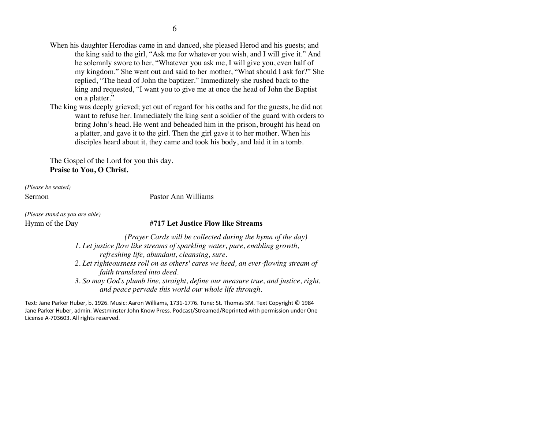- When his daughter Herodias came in and danced, she pleased Herod and his guests; and the king said to the girl, "Ask me for whatever you wish, and I will give it." And he solemnly swore to her, "Whatever you ask me, I will give you, even half of my kingdom." She went out and said to her mother, "What should I ask for?" She replied, "The head of John the baptizer." Immediately she rushed back to the king and requested, "I want you to give me at once the head of John the Baptist on a platter."
- The king was deeply grieved; yet out of regard for his oaths and for the guests, he did not want to refuse her. Immediately the king sent a soldier of the guard with orders to bring John's head. He went and beheaded him in the prison, brought his head on a platter, and gave it to the girl. Then the girl gave it to her mother. When his disciples heard about it, they came and took his body, and laid it in a tomb.

The Gospel of the Lord for you this day. **Praise to You, O Christ.**

*(Please be seated)*

Sermon Pastor Ann Williams

*(Please stand as you are able)*

### Hymn of the Day **#717 Let Justice Flow like Streams**

*(Prayer Cards will be collected during the hymn of the day) 1. Let justice flow like streams of sparkling water, pure, enabling growth, refreshing life, abundant, cleansing, sure. 2. Let righteousness roll on as others' cares we heed, an ever-flowing stream of faith translated into deed. 3. So may God's plumb line, straight, define our measure true, and justice, right, and peace pervade this world our whole life through.*

Text: Jane Parker Huber, b. 1926. Music: Aaron Williams, 1731-1776. Tune: St. Thomas SM. Text Copyright © 1984 Jane Parker Huber, admin. Westminster John Know Press. Podcast/Streamed/Reprinted with permission under One License A-703603. All rights reserved.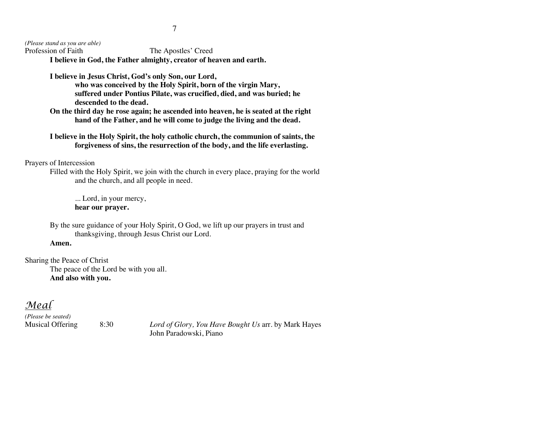*(Please stand as you are able)*

The Apostles' Creed **I believe in God, the Father almighty, creator of heaven and earth.**

**I believe in Jesus Christ, God's only Son, our Lord, who was conceived by the Holy Spirit, born of the virgin Mary, suffered under Pontius Pilate, was crucified, died, and was buried; he descended to the dead.**

**On the third day he rose again; he ascended into heaven, he is seated at the right hand of the Father, and he will come to judge the living and the dead.**

**I believe in the Holy Spirit, the holy catholic church, the communion of saints, the forgiveness of sins, the resurrection of the body, and the life everlasting.**

# Prayers of Intercession

Filled with the Holy Spirit, we join with the church in every place, praying for the world and the church, and all people in need.

... Lord, in your mercy, **hear our prayer.**

By the sure guidance of your Holy Spirit, O God, we lift up our prayers in trust and thanksgiving, through Jesus Christ our Lord.

#### **Amen.**

Sharing the Peace of Christ The peace of the Lord be with you all. **And also with you.**

# *Meal*

*(Please be seated)*

Musical Offering 8:30 *Lord of Glory, You Have Bought Us* arr. by Mark Hayes John Paradowski, Piano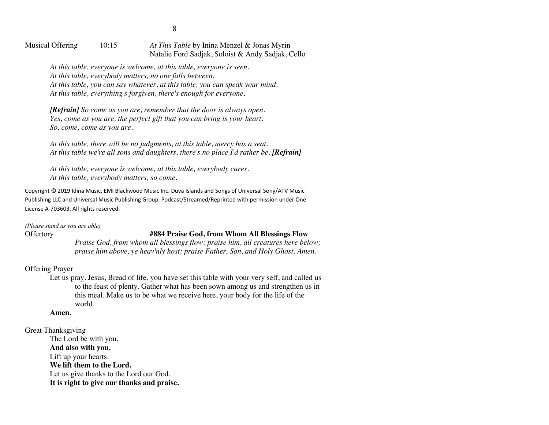Musical Offering 10:15 *At This Table* by Inina Menzel & Jonas Myrin Natalie Ford Sadjak, Soloist & Andy Sadjak, Cello

*At this table, everyone is welcome, at this table, everyone is seen. At this table, everybody matters, no one falls between. At this table, you can say whatever, at this table, you can speak your mind. At this table, everything's forgiven, there's enough for everyone.*

*[Refrain] So come as you are, remember that the door is always open. Yes, come as you are, the perfect gift that you can bring is your heart. So, come, come as you are.*

*At this table, there will be no judgments, at this table, mercy has a seat.* At this table we're all sons and daughters, there's no place I'd rather be. **[Refrain]** 

*At this table, everyone is welcome, at this table, everybody cares. At this table, everybody matters, so come.*

Copyright © 2019 Idina Music, EMI Blackwood Music Inc. Duva Islands and Songs of Universal Sony/ATV Music Publishing LLC and Universal Music Publishing Group. Podcast/Streamed/Reprinted with permission under One License A-703603. All rights reserved.

*(Please stand as you are able)*

## Offertory **#884 Praise God, from Whom All Blessings Flow**

*Praise God, from whom all blessings flow; praise him, all creatures here below; praise him above, ye heav'nly host; praise Father, Son, and Holy Ghost. Amen.*

### Offering Prayer

Let us pray. Jesus, Bread of life, you have set this table with your very self, and called us to the feast of plenty. Gather what has been sown among us and strengthen us in this meal. Make us to be what we receive here, your body for the life of the world.

### **Amen.**

Great Thanksgiving

The Lord be with you. **And also with you.** Lift up your hearts. **We lift them to the Lord.** Let us give thanks to the Lord our God. **It is right to give our thanks and praise.**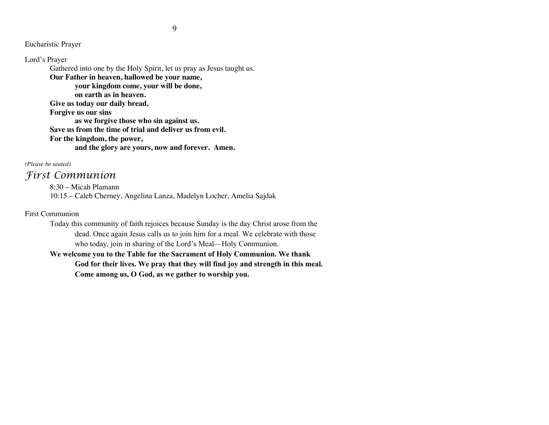Eucharistic Prayer

Lord's Prayer Gathered into one by the Holy Spirit, let us pray as Jesus taught us. **Our Father in heaven, hallowed be your name, your kingdom come, your will be done, on earth as in heaven. Give us today our daily bread. Forgive us our sins as we forgive those who sin against us. Save us from the time of trial and deliver us from evil. For the kingdom, the power, and the glory are yours, now and forever. Amen.**

*(Please be seated)*

# *First Communion*

8:30 – Micah Plamann 10:15 – Caleb Cherney, Angelina Lanza, Madelyn Locher, Amelia Sajdak

# First Communion

Today this community of faith rejoices because Sunday is the day Christ arose from the dead. Once again Jesus calls us to join him for a meal. We celebrate with those who today, join in sharing of the Lord's Meal—Holy Communion.

**We welcome you to the Table for the Sacrament of Holy Communion. We thank God for their lives. We pray that they will find joy and strength in this meal. Come among us, O God, as we gather to worship you.**